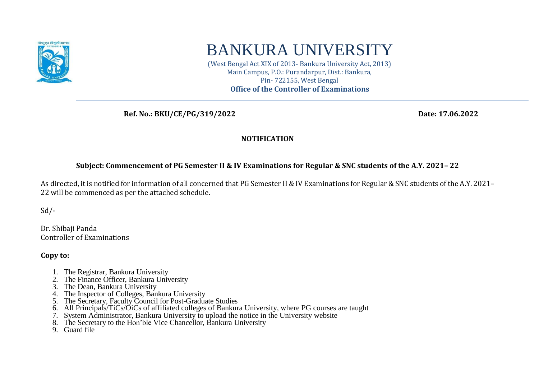

## BANKURA UNIVERSITY

(West Bengal Act XIX of 2013- Bankura University Act, 2013) Main Campus, P.O.: Purandarpur, Dist.: Bankura, Pin- 722155, West Bengal **Office of the Controller of Examinations**

 **Ref. No.: BKU/CE/PG/319/2022 Date: 17.06.2022**

## **NOTIFICATION**

## **Subject: Commencement of PG Semester II & IV Examinations for Regular & SNC students of the A.Y. 2021– 22**

As directed, it is notified for information of all concerned that PG Semester II & IV Examinations for Regular & SNC students of the A.Y. 2021– 22 will be commenced as per the attached schedule.

Sd/-

Dr. Shibaji Panda Controller of Examinations

**Copy to:** 

- 1. The Registrar, Bankura University
- 2. The Finance Officer, Bankura University
- 3. The Dean, Bankura University
- 4. The Inspector of Colleges, Bankura University
- 5. The Secretary, Faculty Council for Post-Graduate Studies
- 6. All Principals/TiCs/OiCs of affiliated colleges of Bankura University, where PG courses are taught
- 7. System Administrator, Bankura University to upload the notice in the University website
- 8. The Secretary to the Hon'ble Vice Chancellor, Bankura University
- 9. Guard file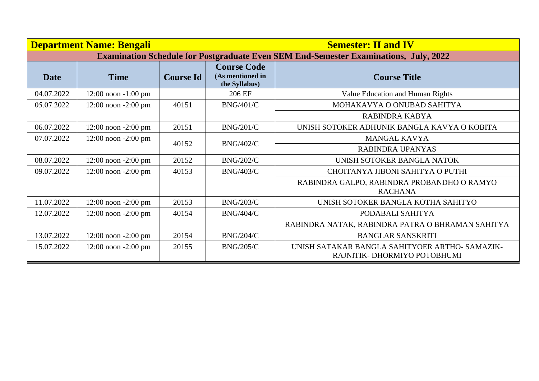|             | <b>Department Name: Bengali</b>                                                             |                  |                                                         | <b>Semester: II and IV</b>                                                     |  |  |  |  |
|-------------|---------------------------------------------------------------------------------------------|------------------|---------------------------------------------------------|--------------------------------------------------------------------------------|--|--|--|--|
|             | <b>Examination Schedule for Postgraduate Even SEM End-Semester Examinations, July, 2022</b> |                  |                                                         |                                                                                |  |  |  |  |
| <b>Date</b> | <b>Time</b>                                                                                 | <b>Course Id</b> | <b>Course Code</b><br>(As mentioned in<br>the Syllabus) | <b>Course Title</b>                                                            |  |  |  |  |
| 04.07.2022  | $12:00$ noon $-1:00$ pm                                                                     |                  | 206 EF                                                  | Value Education and Human Rights                                               |  |  |  |  |
| 05.07.2022  | $12:00$ noon $-2:00$ pm                                                                     | 40151            | <b>BNG/401/C</b>                                        | MOHAKAVYA O ONUBAD SAHITYA                                                     |  |  |  |  |
|             |                                                                                             |                  |                                                         | RABINDRA KABYA                                                                 |  |  |  |  |
| 06.07.2022  | $12:00$ noon $-2:00$ pm                                                                     | 20151            | <b>BNG/201/C</b>                                        | UNISH SOTOKER ADHUNIK BANGLA KAVYA O KOBITA                                    |  |  |  |  |
| 07.07.2022  | $12:00$ noon $-2:00$ pm                                                                     |                  |                                                         | <b>MANGAL KAVYA</b>                                                            |  |  |  |  |
|             |                                                                                             | 40152            | <b>BNG/402/C</b>                                        | RABINDRA UPANYAS                                                               |  |  |  |  |
| 08.07.2022  | $12:00$ noon $-2:00$ pm                                                                     | 20152            | <b>BNG/202/C</b>                                        | UNISH SOTOKER BANGLA NATOK                                                     |  |  |  |  |
| 09.07.2022  | $12:00$ noon $-2:00$ pm                                                                     | 40153            | <b>BNG/403/C</b>                                        | CHOITANYA JIBONI SAHITYA O PUTHI                                               |  |  |  |  |
|             |                                                                                             |                  |                                                         | RABINDRA GALPO, RABINDRA PROBANDHO O RAMYO<br><b>RACHANA</b>                   |  |  |  |  |
| 11.07.2022  | $12:00$ noon $-2:00$ pm                                                                     | 20153            | <b>BNG/203/C</b>                                        | UNISH SOTOKER BANGLA KOTHA SAHITYO                                             |  |  |  |  |
| 12.07.2022  | $12:00$ noon $-2:00$ pm                                                                     | 40154            | <b>BNG/404/C</b>                                        | PODABALI SAHITYA                                                               |  |  |  |  |
|             |                                                                                             |                  |                                                         | RABINDRA NATAK, RABINDRA PATRA O BHRAMAN SAHITYA                               |  |  |  |  |
| 13.07.2022  | $12:00$ noon $-2:00$ pm                                                                     | 20154            | <b>BNG/204/C</b>                                        | <b>BANGLAR SANSKRITI</b>                                                       |  |  |  |  |
| 15.07.2022  | $12:00$ noon $-2:00$ pm                                                                     | 20155            | <b>BNG/205/C</b>                                        | UNISH SATAKAR BANGLA SAHITYOER ARTHO- SAMAZIK-<br>RAJNITIK- DHORMIYO POTOBHUMI |  |  |  |  |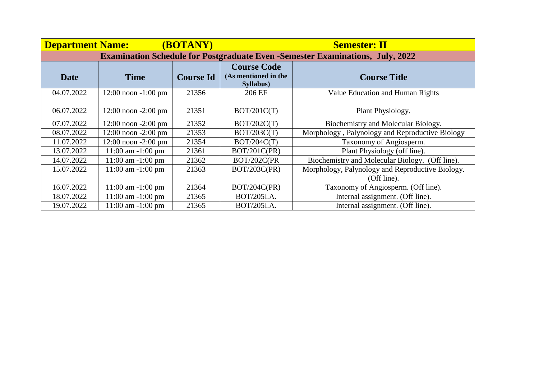| <b>Department Name:</b>                                                              |                         | (BOTANY)         |                                            | <b>Semester: II</b>                              |  |  |  |
|--------------------------------------------------------------------------------------|-------------------------|------------------|--------------------------------------------|--------------------------------------------------|--|--|--|
| <b>Examination Schedule for Postgraduate Even -Semester Examinations, July, 2022</b> |                         |                  |                                            |                                                  |  |  |  |
| <b>Date</b>                                                                          | <b>Time</b>             | <b>Course Id</b> | <b>Course Code</b><br>(As mentioned in the | <b>Course Title</b>                              |  |  |  |
|                                                                                      |                         |                  | Syllabus)                                  |                                                  |  |  |  |
| 04.07.2022                                                                           | $12:00$ noon $-1:00$ pm | 21356            | 206 EF                                     | Value Education and Human Rights                 |  |  |  |
| 06.07.2022                                                                           | $12:00$ noon $-2:00$ pm | 21351            | BOT/201C(T)                                | Plant Physiology.                                |  |  |  |
| 07.07.2022                                                                           | $12:00$ noon $-2:00$ pm | 21352            | BOT/202C(T)                                | Biochemistry and Molecular Biology.              |  |  |  |
| 08.07.2022                                                                           | $12:00$ noon $-2:00$ pm | 21353            | BOT/203C(T)                                | Morphology, Palynology and Reproductive Biology  |  |  |  |
| 11.07.2022                                                                           | $12:00$ noon $-2:00$ pm | 21354            | BOT/204C(T)                                | Taxonomy of Angiosperm.                          |  |  |  |
| 13.07.2022                                                                           | $11:00$ am $-1:00$ pm   | 21361            | BOT/201C(PR)                               | Plant Physiology (off line).                     |  |  |  |
| 14.07.2022                                                                           | $11:00$ am $-1:00$ pm   | 21362            | BOT/202C(PR                                | Biochemistry and Molecular Biology. (Off line).  |  |  |  |
| 15.07.2022                                                                           | $11:00$ am $-1:00$ pm   | 21363            | BOT/203C(PR)                               | Morphology, Palynology and Reproductive Biology. |  |  |  |
|                                                                                      |                         |                  |                                            | (Off line).                                      |  |  |  |
| 16.07.2022                                                                           | $11:00$ am $-1:00$ pm   | 21364            | BOT/204C(PR)                               | Taxonomy of Angiosperm. (Off line).              |  |  |  |
| 18.07.2022                                                                           | $11:00$ am $-1:00$ pm   | 21365            | BOT/205I.A.                                | Internal assignment. (Off line).                 |  |  |  |
| 19.07.2022                                                                           | $11:00$ am $-1:00$ pm   | 21365            | BOT/205I.A.                                | Internal assignment. (Off line).                 |  |  |  |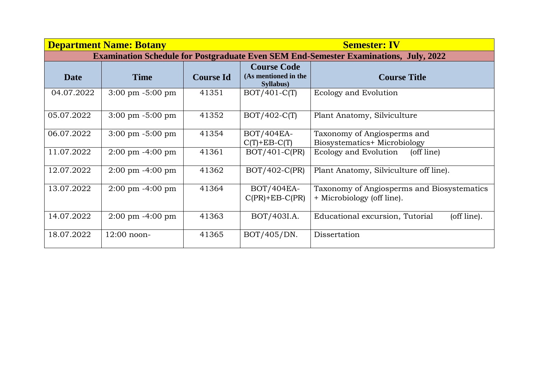|            | <b>Department Name: Botany</b>      |                  |                                                         | <b>Semester: IV</b>                                                                         |
|------------|-------------------------------------|------------------|---------------------------------------------------------|---------------------------------------------------------------------------------------------|
|            |                                     |                  |                                                         | <b>Examination Schedule for Postgraduate Even SEM End-Semester Examinations, July, 2022</b> |
| Date       | <b>Time</b>                         | <b>Course Id</b> | <b>Course Code</b><br>(As mentioned in the<br>Syllabus) | <b>Course Title</b>                                                                         |
| 04.07.2022 | $3:00 \text{ pm } -5:00 \text{ pm}$ | 41351            | $BOT/401-C(T)$                                          | Ecology and Evolution                                                                       |
| 05.07.2022 | $3:00 \text{ pm } -5:00 \text{ pm}$ | 41352            | $BOT/402-C(T)$                                          | Plant Anatomy, Silviculture                                                                 |
| 06.07.2022 | $3:00 \text{ pm } -5:00 \text{ pm}$ | 41354            | BOT/404EA-<br>$C(T)$ +EB- $C(T)$                        | Taxonomy of Angiosperms and<br>Biosystematics+ Microbiology                                 |
| 11.07.2022 | $2:00 \text{ pm } -4:00 \text{ pm}$ | 41361            | $BOT/401-C(PR)$                                         | Ecology and Evolution<br>(off line)                                                         |
| 12.07.2022 | $2:00 \text{ pm } -4:00 \text{ pm}$ | 41362            | $BOT/402-C(PR)$                                         | Plant Anatomy, Silviculture off line).                                                      |
| 13.07.2022 | $2:00 \text{ pm } -4:00 \text{ pm}$ | 41364            | BOT/404EA-<br>$C(PR)$ +EB- $C(PR)$                      | Taxonomy of Angiosperms and Biosystematics<br>+ Microbiology (off line).                    |
| 14.07.2022 | $2:00 \text{ pm } -4:00 \text{ pm}$ | 41363            | BOT/403I.A.                                             | (off line).<br>Educational excursion, Tutorial                                              |
| 18.07.2022 | $12:00$ noon-                       | 41365            | BOT/405/DN.                                             | Dissertation                                                                                |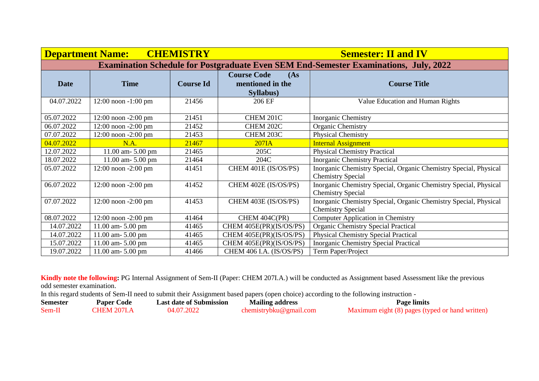| <b>CHEMISTRY</b><br><b>Department Name:</b> |                         |                  | <b>Semester: II and IV</b>                                                                  |                                                                                              |  |
|---------------------------------------------|-------------------------|------------------|---------------------------------------------------------------------------------------------|----------------------------------------------------------------------------------------------|--|
|                                             |                         |                  | <b>Examination Schedule for Postgraduate Even SEM End-Semester Examinations, July, 2022</b> |                                                                                              |  |
| <b>Date</b>                                 | <b>Time</b>             | <b>Course Id</b> | <b>Course Code</b><br>(As)<br>mentioned in the<br>Syllabus)                                 | <b>Course Title</b>                                                                          |  |
| 04.07.2022                                  | $12:00$ noon $-1:00$ pm | 21456            | 206 EF                                                                                      | Value Education and Human Rights                                                             |  |
| 05.07.2022                                  | $12:00$ noon $-2:00$ pm | 21451            | CHEM 201C                                                                                   | <b>Inorganic Chemistry</b>                                                                   |  |
| 06.07.2022                                  | 12:00 noon -2:00 pm     | 21452            | CHEM 202C                                                                                   | Organic Chemistry                                                                            |  |
| 07.07.2022                                  | $12:00$ noon $-2:00$ pm | 21453            | CHEM 203C                                                                                   | Physical Chemistry                                                                           |  |
| 04.07.2022                                  | N.A.                    | 21467            | $207I$ A                                                                                    | <b>Internal Assignment</b>                                                                   |  |
| 12.07.2022                                  | 11.00 am- 5.00 pm       | 21465            | 205C                                                                                        | <b>Physical Chemistry Practical</b>                                                          |  |
| 18.07.2022                                  | $11.00$ am- $5.00$ pm   | 21464            | 204C                                                                                        | <b>Inorganic Chemistry Practical</b>                                                         |  |
| 05.07.2022                                  | $12:00$ noon $-2:00$ pm | 41451            | CHEM 401E (IS/OS/PS)                                                                        | Inorganic Chemistry Special, Organic Chemistry Special, Physical<br><b>Chemistry Special</b> |  |
| 06.07.2022                                  | 12:00 noon -2:00 pm     | 41452            | CHEM 402E (IS/OS/PS)                                                                        | Inorganic Chemistry Special, Organic Chemistry Special, Physical<br><b>Chemistry Special</b> |  |
| 07.07.2022                                  | $12:00$ noon $-2:00$ pm | 41453            | CHEM 403E (IS/OS/PS)                                                                        | Inorganic Chemistry Special, Organic Chemistry Special, Physical<br><b>Chemistry Special</b> |  |
| 08.07.2022                                  | $12:00$ noon $-2:00$ pm | 41464            | CHEM 404C(PR)                                                                               | <b>Computer Application in Chemistry</b>                                                     |  |
| 14.07.2022                                  | 11.00 am- 5.00 pm       | 41465            | CHEM 405E(PR)(IS/OS/PS)                                                                     | <b>Organic Chemistry Special Practical</b>                                                   |  |
| 14.07.2022                                  | 11.00 am- 5.00 pm       | 41465            | CHEM 405E(PR)(IS/OS/PS)                                                                     | <b>Physical Chemistry Special Practical</b>                                                  |  |
| 15.07.2022                                  | $11.00$ am- $5.00$ pm   | 41465            | CHEM 405E(PR)(IS/OS/PS)                                                                     | <b>Inorganic Chemistry Special Practical</b>                                                 |  |
| 19.07.2022                                  | $11.00$ am- $5.00$ pm   | 41466            | CHEM 406 I.A. (IS/OS/PS)                                                                    | Term Paper/Project                                                                           |  |

**Kindly note the following:** PG Internal Assignment of Sem-II (Paper: CHEM 207I.A.) will be conducted as Assignment based Assessment like the previous odd semester examination.

In this regard students of Sem-II need to submit their Assignment based papers (open choice) according to the following instruction -

| <b>Semester</b> | <b>Paper Code</b> | <b>Last date of Submission</b> | <b>Mailing address</b> | <b>Page limits</b>                              |
|-----------------|-------------------|--------------------------------|------------------------|-------------------------------------------------|
| Sem-II          | CHEM 207LA        | 04.07.2022                     | chemistrybku@gmail.com | Maximum eight (8) pages (typed or hand written) |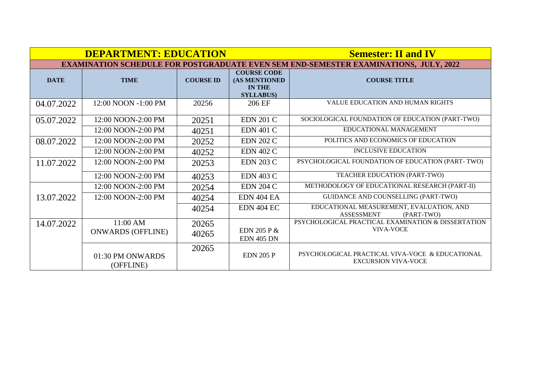|             | <b>DEPARTMENT: EDUCATION</b>         |                  | <b>Semester: II and IV</b>                                                                  |                                                                               |
|-------------|--------------------------------------|------------------|---------------------------------------------------------------------------------------------|-------------------------------------------------------------------------------|
|             |                                      |                  | <b>EXAMINATION SCHEDULE FOR POSTGRADUATE EVEN SEM END-SEMESTER EXAMINATIONS, JULY, 2022</b> |                                                                               |
| <b>DATE</b> | <b>TIME</b>                          | <b>COURSE ID</b> | <b>COURSE CODE</b><br>(AS MENTIONED<br><b>IN THE</b><br><b>SYLLABUS</b>                     | <b>COURSE TITLE</b>                                                           |
| 04.07.2022  | 12:00 NOON -1:00 PM                  | 20256            | 206 EF                                                                                      | <b>VALUE EDUCATION AND HUMAN RIGHTS</b>                                       |
| 05.07.2022  | 12:00 NOON-2:00 PM                   | 20251            | <b>EDN 201 C</b>                                                                            | SOCIOLOGICAL FOUNDATION OF EDUCATION (PART-TWO)                               |
|             | 12:00 NOON-2:00 PM                   | 40251            | <b>EDN 401 C</b>                                                                            | EDUCATIONAL MANAGEMENT                                                        |
| 08.07.2022  | 12:00 NOON-2:00 PM                   | 20252            | <b>EDN 202 C</b>                                                                            | POLITICS AND ECONOMICS OF EDUCATION                                           |
|             | 12:00 NOON-2:00 PM                   | 40252            | <b>EDN 402 C</b>                                                                            | <b>INCLUSIVE EDUCATION</b>                                                    |
| 11.07.2022  | 12:00 NOON-2:00 PM                   | 20253            | <b>EDN 203 C</b>                                                                            | PSYCHOLOGICAL FOUNDATION OF EDUCATION (PART-TWO)                              |
|             | 12:00 NOON-2:00 PM                   | 40253            | <b>EDN 403 C</b>                                                                            | TEACHER EDUCATION (PART-TWO)                                                  |
|             | 12:00 NOON-2:00 PM                   | 20254            | <b>EDN 204 C</b>                                                                            | METHODOLOGY OF EDUCATIONAL RESEARCH (PART-II)                                 |
| 13.07.2022  | 12:00 NOON-2:00 PM                   | 40254            | <b>EDN 404 EA</b>                                                                           | GUIDANCE AND COUNSELLING (PART-TWO)                                           |
|             |                                      | 40254            | <b>EDN 404 EC</b>                                                                           | EDUCATIONAL MEASUREMENT, EVALUATION, AND<br><b>ASSESSMENT</b><br>(PART-TWO)   |
| 14.07.2022  | 11:00 AM<br><b>ONWARDS (OFFLINE)</b> | 20265<br>40265   | <b>EDN 205 P &amp;</b><br><b>EDN 405 DN</b>                                                 | PSYCHOLOGICAL PRACTICAL EXAMINATION & DISSERTATION<br>VIVA-VOCE               |
|             | 01:30 PM ONWARDS<br>(OFFLINE)        | 20265            | <b>EDN 205 P</b>                                                                            | PSYCHOLOGICAL PRACTICAL VIVA-VOCE & EDUCATIONAL<br><b>EXCURSION VIVA-VOCE</b> |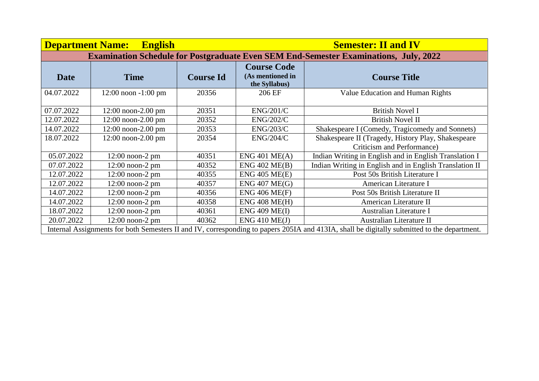| <b>Department Name:</b>                                                                     | <b>English</b>          |                  |                                                         | <b>Semester: II and IV</b>                                                                                                                  |  |  |
|---------------------------------------------------------------------------------------------|-------------------------|------------------|---------------------------------------------------------|---------------------------------------------------------------------------------------------------------------------------------------------|--|--|
| <b>Examination Schedule for Postgraduate Even SEM End-Semester Examinations, July, 2022</b> |                         |                  |                                                         |                                                                                                                                             |  |  |
| <b>Date</b>                                                                                 | <b>Time</b>             | <b>Course Id</b> | <b>Course Code</b><br>(As mentioned in<br>the Syllabus) | <b>Course Title</b>                                                                                                                         |  |  |
| 04.07.2022                                                                                  | $12:00$ noon $-1:00$ pm | 20356            | 206 EF                                                  | Value Education and Human Rights                                                                                                            |  |  |
| 07.07.2022                                                                                  | $12:00$ noon-2.00 pm    | 20351            | ENG/201/C                                               | <b>British Novel I</b>                                                                                                                      |  |  |
| 12.07.2022                                                                                  | $12:00$ noon-2.00 pm    | 20352            | <b>ENG/202/C</b>                                        | <b>British Novel II</b>                                                                                                                     |  |  |
| 14.07.2022                                                                                  | $12:00$ noon-2.00 pm    | 20353            | <b>ENG/203/C</b>                                        | Shakespeare I (Comedy, Tragicomedy and Sonnets)                                                                                             |  |  |
| 18.07.2022                                                                                  | $12:00$ noon-2.00 pm    | 20354            | ENG/204/C                                               | Shakespeare II (Tragedy, History Play, Shakespeare<br>Criticism and Performance)                                                            |  |  |
| 05.07.2022                                                                                  | $12:00$ noon-2 pm       | 40351            | ENG 401 ME(A)                                           | Indian Writing in English and in English Translation I                                                                                      |  |  |
| 07.07.2022                                                                                  | $12:00$ noon-2 pm       | 40352            | ENG 402 ME(B)                                           | Indian Writing in English and in English Translation II                                                                                     |  |  |
| 12.07.2022                                                                                  | $12:00$ noon-2 pm       | 40355            | ENG 405 ME(E)                                           | Post 50s British Literature I                                                                                                               |  |  |
| 12.07.2022                                                                                  | $12:00$ noon-2 pm       | 40357            | ENG 407 ME(G)                                           | American Literature I                                                                                                                       |  |  |
| 14.07.2022                                                                                  | $12:00$ noon-2 pm       | 40356            | ENG 406 ME(F)                                           | Post 50s British Literature II                                                                                                              |  |  |
| 14.07.2022                                                                                  | $12:00$ noon-2 pm       | 40358            | ENG 408 ME(H)                                           | American Literature II                                                                                                                      |  |  |
| 18.07.2022                                                                                  | $12:00$ noon-2 pm       | 40361            | <b>ENG 409 ME(I)</b>                                    | Australian Literature I                                                                                                                     |  |  |
| 20.07.2022                                                                                  | $12:00$ noon-2 pm       | 40362            | $ENG$ 410 ME(J)                                         | Australian Literature II                                                                                                                    |  |  |
|                                                                                             |                         |                  |                                                         | Internal Assignments for both Semesters II and IV, corresponding to papers 205IA and 413IA, shall be digitally submitted to the department. |  |  |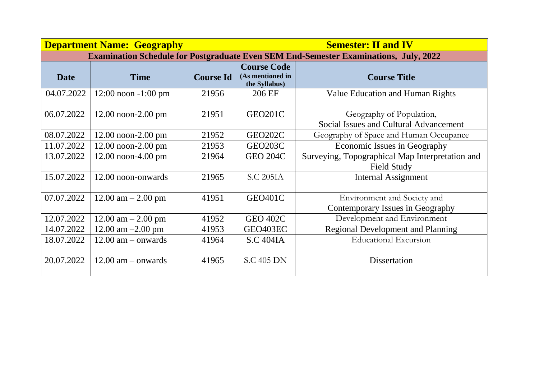|             | <b>Department Name: Geography</b> |                  |                                                         | <b>Semester: II and IV</b>                                                                  |
|-------------|-----------------------------------|------------------|---------------------------------------------------------|---------------------------------------------------------------------------------------------|
|             |                                   |                  |                                                         | <b>Examination Schedule for Postgraduate Even SEM End-Semester Examinations, July, 2022</b> |
| <b>Date</b> | <b>Time</b>                       | <b>Course Id</b> | <b>Course Code</b><br>(As mentioned in<br>the Syllabus) | <b>Course Title</b>                                                                         |
| 04.07.2022  | $12:00$ noon $-1:00$ pm           | 21956            | 206 EF                                                  | Value Education and Human Rights                                                            |
| 06.07.2022  | $12.00$ noon- $2.00$ pm           | 21951            | GEO201C                                                 | Geography of Population,<br>Social Issues and Cultural Advancement                          |
| 08.07.2022  | $12.00$ noon- $2.00$ pm           | 21952            | GEO202C                                                 | Geography of Space and Human Occupance                                                      |
| 11.07.2022  | $12.00$ noon- $2.00$ pm           | 21953            | GEO203C                                                 | Economic Issues in Geography                                                                |
| 13.07.2022  | $12.00$ noon-4.00 pm              | 21964            | <b>GEO 204C</b>                                         | Surveying, Topographical Map Interpretation and<br><b>Field Study</b>                       |
| 15.07.2022  | 12.00 noon-onwards                | 21965            | <b>S.C 205IA</b>                                        | <b>Internal Assignment</b>                                                                  |
| 07.07.2022  | $12.00$ am $- 2.00$ pm            | 41951            | GEO401C                                                 | Environment and Society and                                                                 |
|             |                                   |                  |                                                         | Contemporary Issues in Geography                                                            |
| 12.07.2022  | $12.00$ am $- 2.00$ pm            | 41952            | <b>GEO 402C</b>                                         | Development and Environment                                                                 |
| 14.07.2022  | 12.00 am $-2.00$ pm               | 41953            | GEO403EC                                                | <b>Regional Development and Planning</b>                                                    |
| 18.07.2022  | $12.00$ am $-$ onwards            | 41964            | <b>S.C 404IA</b>                                        | <b>Educational Excursion</b>                                                                |
| 20.07.2022  | $12.00$ am $-$ onwards            | 41965            | <b>S.C 405 DN</b>                                       | <b>Dissertation</b>                                                                         |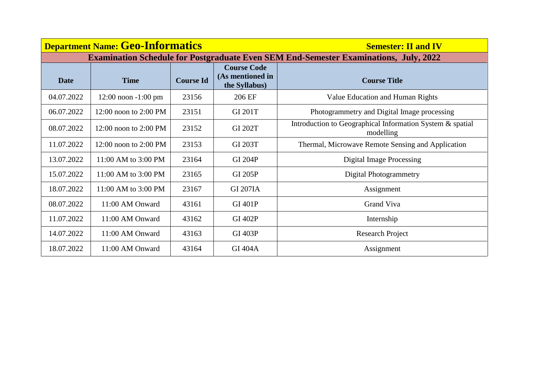|             | <b>Department Name: Geo-Informatics</b> |                  | <b>Semester: II and IV</b>                              |                                                                                             |
|-------------|-----------------------------------------|------------------|---------------------------------------------------------|---------------------------------------------------------------------------------------------|
|             |                                         |                  |                                                         | <b>Examination Schedule for Postgraduate Even SEM End-Semester Examinations, July, 2022</b> |
| <b>Date</b> | <b>Time</b>                             | <b>Course Id</b> | <b>Course Code</b><br>(As mentioned in<br>the Syllabus) | <b>Course Title</b>                                                                         |
| 04.07.2022  | $12:00$ noon $-1:00$ pm                 | 23156            | 206 EF                                                  | Value Education and Human Rights                                                            |
| 06.07.2022  | $12:00$ noon to $2:00$ PM               | 23151            | <b>GI 201T</b>                                          | Photogrammetry and Digital Image processing                                                 |
| 08.07.2022  | $12:00$ noon to $2:00$ PM               | 23152            | <b>GI 202T</b>                                          | Introduction to Geographical Information System & spatial<br>modelling                      |
| 11.07.2022  | $12:00$ noon to $2:00$ PM               | 23153            | <b>GI 203T</b>                                          | Thermal, Microwave Remote Sensing and Application                                           |
| 13.07.2022  | $11:00$ AM to 3:00 PM                   | 23164            | <b>GI 204P</b>                                          | <b>Digital Image Processing</b>                                                             |
| 15.07.2022  | 11:00 AM to 3:00 PM                     | 23165            | <b>GI 205P</b>                                          | <b>Digital Photogrammetry</b>                                                               |
| 18.07.2022  | 11:00 AM to 3:00 PM                     | 23167            | <b>GI 207IA</b>                                         | Assignment                                                                                  |
| 08.07.2022  | 11:00 AM Onward                         | 43161            | <b>GI 401P</b>                                          | Grand Viva                                                                                  |
| 11.07.2022  | 11:00 AM Onward                         | 43162            | <b>GI 402P</b>                                          | Internship                                                                                  |
| 14.07.2022  | 11:00 AM Onward                         | 43163            | <b>GI 403P</b>                                          | <b>Research Project</b>                                                                     |
| 18.07.2022  | 11:00 AM Onward                         | 43164            | <b>GI 404A</b>                                          | Assignment                                                                                  |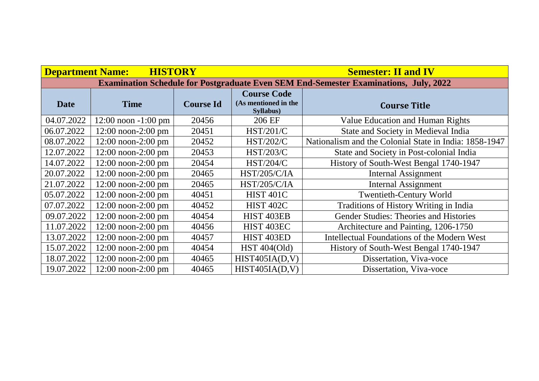| <b>Department Name:</b> | <b>HISTORY</b>          |                  |                                                         | <b>Semester: II and IV</b>                                                                  |
|-------------------------|-------------------------|------------------|---------------------------------------------------------|---------------------------------------------------------------------------------------------|
|                         |                         |                  |                                                         | <b>Examination Schedule for Postgraduate Even SEM End-Semester Examinations, July, 2022</b> |
| <b>Date</b>             | <b>Time</b>             | <b>Course Id</b> | <b>Course Code</b><br>(As mentioned in the<br>Syllabus) | <b>Course Title</b>                                                                         |
| 04.07.2022              | $12:00$ noon $-1:00$ pm | 20456            | 206 EF                                                  | Value Education and Human Rights                                                            |
| 06.07.2022              | $12:00$ noon-2:00 pm    | 20451            | <b>HST/201/C</b>                                        | State and Society in Medieval India                                                         |
| 08.07.2022              | $12:00$ noon-2:00 pm    | 20452            | <b>HST/202/C</b>                                        | Nationalism and the Colonial State in India: 1858-1947                                      |
| 12.07.2022              | $12:00$ noon-2:00 pm    | 20453            | <b>HST/203/C</b>                                        | State and Society in Post-colonial India                                                    |
| 14.07.2022              | $12:00$ noon-2:00 pm    | 20454            | <b>HST/204/C</b>                                        | History of South-West Bengal 1740-1947                                                      |
| 20.07.2022              | $12:00$ noon-2:00 pm    | 20465            | <b>HST/205/C/IA</b>                                     | <b>Internal Assignment</b>                                                                  |
| 21.07.2022              | $12:00$ noon-2:00 pm    | 20465            | <b>HST/205/C/IA</b>                                     | <b>Internal Assignment</b>                                                                  |
| 05.07.2022              | $12:00$ noon-2:00 pm    | 40451            | HIST <sub>401C</sub>                                    | <b>Twentieth-Century World</b>                                                              |
| 07.07.2022              | $12:00$ noon-2:00 pm    | 40452            | <b>HIST 402C</b>                                        | Traditions of History Writing in India                                                      |
| 09.07.2022              | $12:00$ noon-2:00 pm    | 40454            | HIST <sub>403EB</sub>                                   | Gender Studies: Theories and Histories                                                      |
| 11.07.2022              | $12:00$ noon-2:00 pm    | 40456            | HIST <sub>403EC</sub>                                   | Architecture and Painting, 1206-1750                                                        |
| 13.07.2022              | $12:00$ noon-2:00 pm    | 40457            | HIST <sub>403ED</sub>                                   | Intellectual Foundations of the Modern West                                                 |
| 15.07.2022              | $12:00$ noon-2:00 pm    | 40454            | <b>HST 404(Old)</b>                                     | History of South-West Bengal 1740-1947                                                      |
| 18.07.2022              | $12:00$ noon-2:00 pm    | 40465            | HIST405IA(D,V)                                          | Dissertation, Viva-voce                                                                     |
| 19.07.2022              | $12:00$ noon-2:00 pm    | 40465            | HIST405IA(D,V)                                          | Dissertation, Viva-voce                                                                     |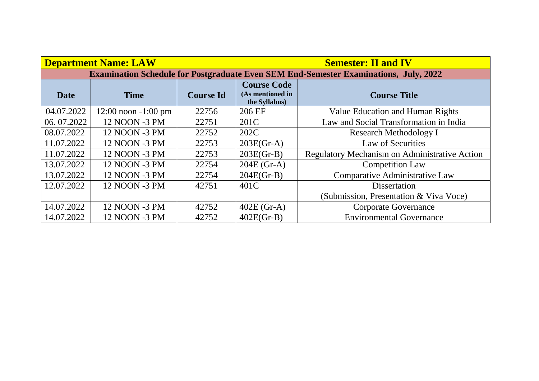|            | <b>Department Name: LAW</b> |                  |                                                                                             | <b>Semester: II and IV</b>                    |
|------------|-----------------------------|------------------|---------------------------------------------------------------------------------------------|-----------------------------------------------|
|            |                             |                  | <b>Examination Schedule for Postgraduate Even SEM End-Semester Examinations, July, 2022</b> |                                               |
| Date       | <b>Time</b>                 | <b>Course Id</b> | <b>Course Code</b><br>(As mentioned in<br>the Syllabus)                                     | <b>Course Title</b>                           |
| 04.07.2022 | $12:00$ noon $-1:00$ pm     | 22756            | 206 EF                                                                                      | <b>Value Education and Human Rights</b>       |
| 06.07.2022 | 12 NOON -3 PM               | 22751            | 201C                                                                                        | Law and Social Transformation in India        |
| 08.07.2022 | 12 NOON -3 PM               | 22752            | 202C                                                                                        | <b>Research Methodology I</b>                 |
| 11.07.2022 | 12 NOON -3 PM               | 22753            | $203E(Gr-A)$                                                                                | Law of Securities                             |
| 11.07.2022 | 12 NOON -3 PM               | 22753            | $203E(Gr-B)$                                                                                | Regulatory Mechanism on Administrative Action |
| 13.07.2022 | 12 NOON -3 PM               | 22754            | $204E$ (Gr-A)                                                                               | <b>Competition Law</b>                        |
| 13.07.2022 | 12 NOON -3 PM               | 22754            | $204E(Gr-B)$                                                                                | Comparative Administrative Law                |
| 12.07.2022 | 12 NOON -3 PM               | 42751            | 401C                                                                                        | <b>Dissertation</b>                           |
|            |                             |                  |                                                                                             | (Submission, Presentation & Viva Voce)        |
| 14.07.2022 | 12 NOON -3 PM               | 42752            | $402E$ (Gr-A)                                                                               | <b>Corporate Governance</b>                   |
| 14.07.2022 | 12 NOON -3 PM               | 42752            | $402E(Gr-B)$                                                                                | <b>Environmental Governance</b>               |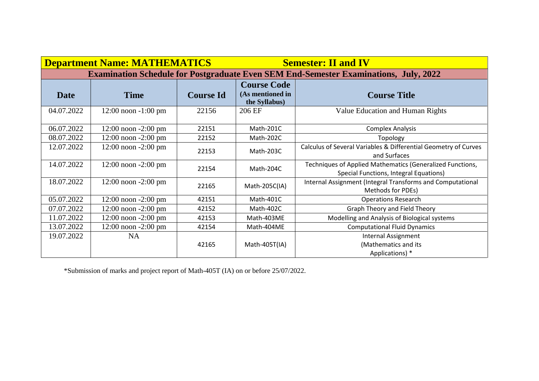|             | <b>Department Name: MATHEMATICS</b> |                  |                                                         | <b>Semester: II and IV</b>                                                                          |
|-------------|-------------------------------------|------------------|---------------------------------------------------------|-----------------------------------------------------------------------------------------------------|
|             |                                     |                  |                                                         | <b>Examination Schedule for Postgraduate Even SEM End-Semester Examinations, July, 2022</b>         |
| <b>Date</b> | <b>Time</b>                         | <b>Course Id</b> | <b>Course Code</b><br>(As mentioned in<br>the Syllabus) | <b>Course Title</b>                                                                                 |
| 04.07.2022  | $12:00$ noon $-1:00$ pm             | 22156            | 206 EF                                                  | Value Education and Human Rights                                                                    |
| 06.07.2022  | $12:00$ noon $-2:00$ pm             | 22151            | Math-201C                                               | <b>Complex Analysis</b>                                                                             |
| 08.07.2022  | $12:00$ noon $-2:00$ pm             | 22152            | Math-202C                                               | Topology                                                                                            |
| 12.07.2022  | $12:00$ noon $-2:00$ pm             | 22153            | Math-203C                                               | Calculus of Several Variables & Differential Geometry of Curves<br>and Surfaces                     |
| 14.07.2022  | $12:00$ noon $-2:00$ pm             | 22154            | Math-204C                                               | Techniques of Applied Mathematics (Generalized Functions,<br>Special Functions, Integral Equations) |
| 18.07.2022  | $12:00$ noon $-2:00$ pm             | 22165            | Math-205C(IA)                                           | Internal Assignment (Integral Transforms and Computational<br>Methods for PDEs)                     |
| 05.07.2022  | $12:00$ noon $-2:00$ pm             | 42151            | Math-401C                                               | <b>Operations Research</b>                                                                          |
| 07.07.2022  | $12:00$ noon $-2:00$ pm             | 42152            | Math-402C                                               | Graph Theory and Field Theory                                                                       |
| 11.07.2022  | $12:00$ noon $-2:00$ pm             | 42153            | Math-403ME                                              | Modelling and Analysis of Biological systems                                                        |
| 13.07.2022  | $12:00$ noon $-2:00$ pm             | 42154            | Math-404ME                                              | <b>Computational Fluid Dynamics</b>                                                                 |
| 19.07.2022  | <b>NA</b>                           | 42165            | Math-405T(IA)                                           | <b>Internal Assignment</b><br>(Mathematics and its<br>Applications) *                               |

\*Submission of marks and project report of Math-405T (IA) on or before 25/07/2022.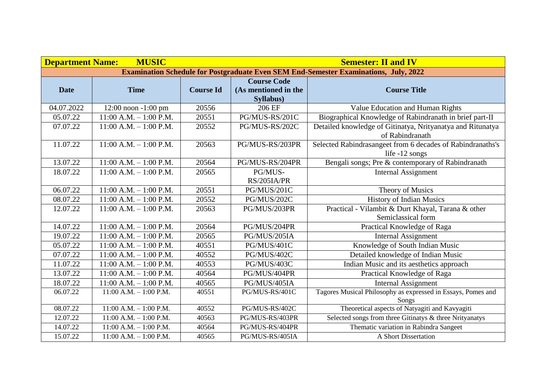| <b>Department Name:</b> | <b>MUSIC</b>               |                  | <b>Semester: II and IV</b> |                                                                                             |  |
|-------------------------|----------------------------|------------------|----------------------------|---------------------------------------------------------------------------------------------|--|
|                         |                            |                  |                            | <b>Examination Schedule for Postgraduate Even SEM End-Semester Examinations, July, 2022</b> |  |
|                         |                            |                  | <b>Course Code</b>         |                                                                                             |  |
| <b>Date</b>             | <b>Time</b>                | <b>Course Id</b> | (As mentioned in the       | <b>Course Title</b>                                                                         |  |
|                         |                            |                  | Syllabus)                  |                                                                                             |  |
| 04.07.2022              | 12:00 noon -1:00 pm        | 20556            | 206 EF                     | Value Education and Human Rights                                                            |  |
| 05.07.22                | $11:00$ A.M. $- 1:00$ P.M. | 20551            | PG/MUS-RS/201C             | Biographical Knowledge of Rabindranath in brief part-II                                     |  |
| 07.07.22                | $11:00$ A.M. $- 1:00$ P.M. | 20552            | PG/MUS-RS/202C             | Detailed knowledge of Gitinatya, Nrityanatya and Ritunatya                                  |  |
|                         |                            |                  |                            | of Rabindranath                                                                             |  |
| 11.07.22                | $11:00$ A.M. $- 1:00$ P.M. | 20563            | PG/MUS-RS/203PR            | Selected Rabindrasangeet from 6 decades of Rabindranaths's                                  |  |
|                         |                            |                  |                            | life -12 songs                                                                              |  |
| 13.07.22                | $11:00$ A.M. $-1:00$ P.M.  | 20564            | PG/MUS-RS/204PR            | Bengali songs; Pre & contemporary of Rabindranath                                           |  |
| 18.07.22                | $11:00$ A.M. $- 1:00$ P.M. | 20565            | PG/MUS-                    | <b>Internal Assignment</b>                                                                  |  |
|                         |                            |                  | RS/205IA/PR                |                                                                                             |  |
| 06.07.22                | $11:00$ A.M. $- 1:00$ P.M. | 20551            | PG/MUS/201C                | Theory of Musics                                                                            |  |
| 08.07.22                | $11:00$ A.M. $- 1:00$ P.M. | 20552            | PG/MUS/202C                | <b>History of Indian Musics</b>                                                             |  |
| 12.07.22                | $11:00$ A.M. $- 1:00$ P.M. | 20563            | PG/MUS/203PR               | Practical - Vilambit & Durt Khayal, Tarana & other                                          |  |
|                         |                            |                  |                            | Semiclassical form                                                                          |  |
| 14.07.22                | $11:00$ A.M. $-1:00$ P.M.  | 20564            | PG/MUS/204PR               | Practical Knowledge of Raga                                                                 |  |
| 19.07.22                | $11:00$ A.M. $- 1:00$ P.M. | 20565            | PG/MUS/205IA               | <b>Internal Assignment</b>                                                                  |  |
| 05.07.22                | $11:00$ A.M. $- 1:00$ P.M. | 40551            | PG/MUS/401C                | Knowledge of South Indian Music                                                             |  |
| 07.07.22                | $11:00$ A.M. $- 1:00$ P.M. | 40552            | PG/MUS/402C                | Detailed knowledge of Indian Music                                                          |  |
| 11.07.22                | $11:00$ A.M. $- 1:00$ P.M. | 40553            | PG/MUS/403C                | Indian Music and its aesthetics approach                                                    |  |
| 13.07.22                | $11:00$ A.M. $- 1:00$ P.M. | 40564            | PG/MUS/404PR               | Practical Knowledge of Raga                                                                 |  |
| 18.07.22                | $11:00$ A.M. $-1:00$ P.M.  | 40565            | PG/MUS/405IA               | <b>Internal Assignment</b>                                                                  |  |
| 06.07.22                | $11:00$ A.M. $- 1:00$ P.M. | 40551            | PG/MUS-RS/401C             | Tagores Musical Philosophy as expressed in Essays, Pomes and                                |  |
|                         |                            |                  |                            | Songs                                                                                       |  |
| 08.07.22                | $11:00$ A.M. $-1:00$ P.M.  | 40552            | PG/MUS-RS/402C             | Theoretical aspects of Natyagiti and Kavyagiti                                              |  |
| 12.07.22                | $11:00$ A.M. $-1:00$ P.M.  | 40563            | PG/MUS-RS/403PR            | Selected songs from three Gitinatys & three Nrityanatys                                     |  |
| 14.07.22                | $11:00$ A.M. $-1:00$ P.M.  | 40564            | PG/MUS-RS/404PR            | Thematic variation in Rabindra Sangeet                                                      |  |
| 15.07.22                | $11:00$ A.M. $-1:00$ P.M.  | 40565            | PG/MUS-RS/405IA            | A Short Dissertation                                                                        |  |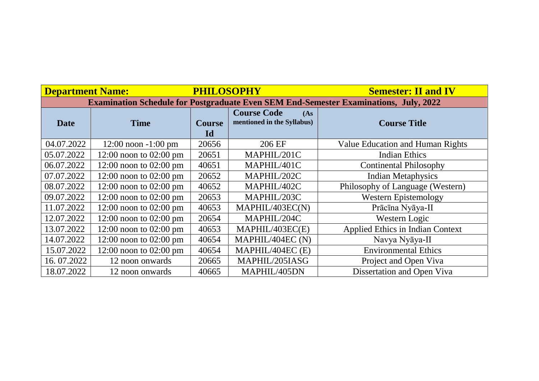| <b>Department Name:</b>                                                                     |                            | <b>PHILOSOPHY</b>   |                                                          | <b>Semester: II and IV</b>              |  |  |  |
|---------------------------------------------------------------------------------------------|----------------------------|---------------------|----------------------------------------------------------|-----------------------------------------|--|--|--|
| <b>Examination Schedule for Postgraduate Even SEM End-Semester Examinations, July, 2022</b> |                            |                     |                                                          |                                         |  |  |  |
| <b>Date</b>                                                                                 | <b>Time</b>                | <b>Course</b><br>Id | <b>Course Code</b><br>(As)<br>mentioned in the Syllabus) | <b>Course Title</b>                     |  |  |  |
| 04.07.2022                                                                                  | $12:00$ noon $-1:00$ pm    | 20656               | 206 EF                                                   | <b>Value Education and Human Rights</b> |  |  |  |
| 05.07.2022                                                                                  | $12:00$ noon to $02:00$ pm | 20651               | MAPHIL/201C                                              | <b>Indian Ethics</b>                    |  |  |  |
| 06.07.2022                                                                                  | $12:00$ noon to $02:00$ pm | 40651               | MAPHIL/401C                                              | <b>Continental Philosophy</b>           |  |  |  |
| 07.07.2022                                                                                  | $12:00$ noon to $02:00$ pm | 20652               | MAPHIL/202C                                              | <b>Indian Metaphysics</b>               |  |  |  |
| 08.07.2022                                                                                  | $12:00$ noon to $02:00$ pm | 40652               | MAPHIL/402C                                              | Philosophy of Language (Western)        |  |  |  |
| 09.07.2022                                                                                  | $12:00$ noon to $02:00$ pm | 20653               | MAPHIL/203C                                              | <b>Western Epistemology</b>             |  |  |  |
| 11.07.2022                                                                                  | $12:00$ noon to $02:00$ pm | 40653               | MAPHIL/403EC(N)                                          | Prācīna Nyāya-II                        |  |  |  |
| 12.07.2022                                                                                  | $12:00$ noon to $02:00$ pm | 20654               | MAPHIL/204C                                              | Western Logic                           |  |  |  |
| 13.07.2022                                                                                  | $12:00$ noon to $02:00$ pm | 40653               | MAPHIL/403EC(E)                                          | Applied Ethics in Indian Context        |  |  |  |
| 14.07.2022                                                                                  | $12:00$ noon to $02:00$ pm | 40654               | MAPHIL/404EC (N)                                         | Navya Nyāya-II                          |  |  |  |
| 15.07.2022                                                                                  | $12:00$ noon to $02:00$ pm | 40654               | MAPHIL/404EC (E)                                         | <b>Environmental Ethics</b>             |  |  |  |
| 16.07.2022                                                                                  | 12 noon onwards            | 20665               | MAPHIL/205IASG                                           | Project and Open Viva                   |  |  |  |
| 18.07.2022                                                                                  | 12 noon onwards            | 40665               | MAPHIL/405DN                                             | Dissertation and Open Viva              |  |  |  |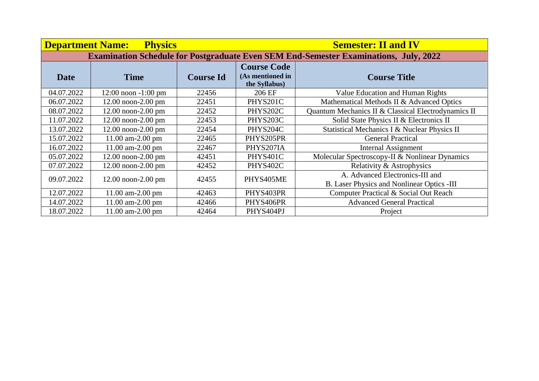| <b>Department Name:</b> | <b>Physics</b>          |                  |                                                         | <b>Semester: II and IV</b>                                                                  |
|-------------------------|-------------------------|------------------|---------------------------------------------------------|---------------------------------------------------------------------------------------------|
|                         |                         |                  |                                                         | <b>Examination Schedule for Postgraduate Even SEM End-Semester Examinations, July, 2022</b> |
| Date                    | <b>Time</b>             | <b>Course Id</b> | <b>Course Code</b><br>(As mentioned in<br>the Syllabus) | <b>Course Title</b>                                                                         |
| 04.07.2022              | $12:00$ noon $-1:00$ pm | 22456            | 206 EF                                                  | Value Education and Human Rights                                                            |
| 06.07.2022              | $12.00$ noon- $2.00$ pm | 22451            | PHYS201C                                                | Mathematical Methods II & Advanced Optics                                                   |
| 08.07.2022              | 12.00 noon-2.00 pm      | 22452            | PHYS202C                                                | Quantum Mechanics II & Classical Electrodynamics II                                         |
| 11.07.2022              | $12.00$ noon- $2.00$ pm | 22453            | PHYS203C                                                | Solid State Physics II & Electronics II                                                     |
| 13.07.2022              | $12.00$ noon- $2.00$ pm | 22454            | PHYS204C                                                | Statistical Mechanics I & Nuclear Physics II                                                |
| 15.07.2022              | 11.00 am-2.00 pm        | 22465            | PHYS205PR                                               | <b>General Practical</b>                                                                    |
| 16.07.2022              | 11.00 am-2.00 pm        | 22467            | PHYS207IA                                               | Internal Assignment                                                                         |
| 05.07.2022              | 12.00 noon-2.00 pm      | 42451            | PHYS401C                                                | Molecular Spectroscopy-II & Nonlinear Dynamics                                              |
| 07.07.2022              | 12.00 noon-2.00 pm      | 42452            | PHYS402C                                                | Relativity & Astrophysics                                                                   |
| 09.07.2022              | $12.00$ noon- $2.00$ pm | 42455            | PHYS405ME                                               | A. Advanced Electronics-III and<br>B. Laser Physics and Nonlinear Optics -III               |
| 12.07.2022              | 11.00 am-2.00 pm        | 42463            | PHYS403PR                                               | Computer Practical & Social Out Reach                                                       |
| 14.07.2022              | 11.00 am-2.00 pm        | 42466            | PHYS406PR                                               | <b>Advanced General Practical</b>                                                           |
| 18.07.2022              | 11.00 am-2.00 pm        | 42464            | PHYS404PJ                                               | Project                                                                                     |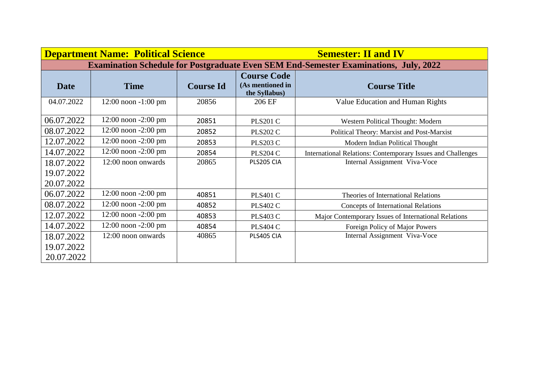| <b>Department Name: Political Science</b> |                         |                  |                                                                                             | <b>Semester: II and IV</b>                                  |  |
|-------------------------------------------|-------------------------|------------------|---------------------------------------------------------------------------------------------|-------------------------------------------------------------|--|
|                                           |                         |                  | <b>Examination Schedule for Postgraduate Even SEM End-Semester Examinations, July, 2022</b> |                                                             |  |
|                                           |                         |                  | <b>Course Code</b><br>(As mentioned in                                                      |                                                             |  |
| <b>Date</b>                               | <b>Time</b>             | <b>Course Id</b> | the Syllabus)                                                                               | <b>Course Title</b>                                         |  |
| 04.07.2022                                | $12:00$ noon $-1:00$ pm | 20856            | 206 EF                                                                                      | Value Education and Human Rights                            |  |
| 06.07.2022                                | $12:00$ noon $-2:00$ pm | 20851            | <b>PLS201 C</b>                                                                             | Western Political Thought: Modern                           |  |
| 08.07.2022                                | $12:00$ noon $-2:00$ pm | 20852            | <b>PLS202 C</b>                                                                             | Political Theory: Marxist and Post-Marxist                  |  |
| 12.07.2022                                | $12:00$ noon $-2:00$ pm | 20853            | <b>PLS203 C</b>                                                                             | Modern Indian Political Thought                             |  |
| 14.07.2022                                | $12:00$ noon $-2:00$ pm | 20854            | <b>PLS204 C</b>                                                                             | International Relations: Contemporary Issues and Challenges |  |
| 18.07.2022                                | 12:00 noon onwards      | 20865            | PLS205 CIA                                                                                  | Internal Assignment Viva-Voce                               |  |
| 19.07.2022                                |                         |                  |                                                                                             |                                                             |  |
| 20.07.2022                                |                         |                  |                                                                                             |                                                             |  |
| 06.07.2022                                | $12:00$ noon $-2:00$ pm | 40851            | <b>PLS401 C</b>                                                                             | Theories of International Relations                         |  |
| 08.07.2022                                | $12:00$ noon $-2:00$ pm | 40852            | <b>PLS402 C</b>                                                                             | <b>Concepts of International Relations</b>                  |  |
| 12.07.2022                                | $12:00$ noon $-2:00$ pm | 40853            | <b>PLS403 C</b>                                                                             | Major Contemporary Issues of International Relations        |  |
| 14.07.2022                                | $12:00$ noon $-2:00$ pm | 40854            | <b>PLS404 C</b>                                                                             | Foreign Policy of Major Powers                              |  |
| 18.07.2022                                | 12:00 noon onwards      | 40865            | PLS405 CIA                                                                                  | Internal Assignment Viva-Voce                               |  |
| 19.07.2022                                |                         |                  |                                                                                             |                                                             |  |
| 20.07.2022                                |                         |                  |                                                                                             |                                                             |  |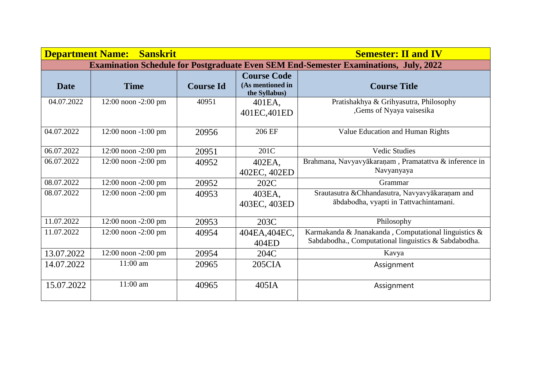| <b>Department Name:</b>                                                                     | <b>Sanskrit</b>         |                  | <b>Semester: II and IV</b>                              |                                                                                                              |  |  |
|---------------------------------------------------------------------------------------------|-------------------------|------------------|---------------------------------------------------------|--------------------------------------------------------------------------------------------------------------|--|--|
| <b>Examination Schedule for Postgraduate Even SEM End-Semester Examinations, July, 2022</b> |                         |                  |                                                         |                                                                                                              |  |  |
| <b>Date</b>                                                                                 | <b>Time</b>             | <b>Course Id</b> | <b>Course Code</b><br>(As mentioned in<br>the Syllabus) | <b>Course Title</b>                                                                                          |  |  |
| 04.07.2022                                                                                  | 12:00 noon -2:00 pm     | 40951            | 401EA,<br>401EC, 401ED                                  | Pratishakhya & Grihyasutra, Philosophy<br>,Gems of Nyaya vaisesika                                           |  |  |
| 04.07.2022                                                                                  | $12:00$ noon $-1:00$ pm | 20956            | 206 EF                                                  | Value Education and Human Rights                                                                             |  |  |
| 06.07.2022                                                                                  | 12:00 noon -2:00 pm     | 20951            | 201C                                                    | <b>Vedic Studies</b>                                                                                         |  |  |
| 06.07.2022                                                                                  | 12:00 noon -2:00 pm     | 40952            | 402EA,<br>402EC, 402ED                                  | Brahmana, Navyavyākaraṇam, Pramatattva & inference in<br>Navyanyaya                                          |  |  |
| 08.07.2022                                                                                  | 12:00 noon -2:00 pm     | 20952            | 202C                                                    | Grammar                                                                                                      |  |  |
| 08.07.2022                                                                                  | $12:00$ noon $-2:00$ pm | 40953            | 403EA,<br>403EC, 403ED                                  | Srautasutra & Chhandasutra, Navyavyākaraņam and<br>ābdabodha, vyapti in Tattvachintamani.                    |  |  |
| 11.07.2022                                                                                  | $12:00$ noon $-2:00$ pm | 20953            | 203C                                                    | Philosophy                                                                                                   |  |  |
| 11.07.2022                                                                                  | $12:00$ noon $-2:00$ pm | 40954            | 404EA, 404EC,<br>404ED                                  | Karmakanda & Jnanakanda, Computational linguistics &<br>Sabdabodha., Computational linguistics & Sabdabodha. |  |  |
| 13.07.2022                                                                                  | 12:00 noon -2:00 pm     | 20954            | 204C                                                    | Kavya                                                                                                        |  |  |
| 14.07.2022                                                                                  | $11:00$ am              | 20965            | 205CIA                                                  | Assignment                                                                                                   |  |  |
| 15.07.2022                                                                                  | $11:00$ am              | 40965            | 405IA                                                   | Assignment                                                                                                   |  |  |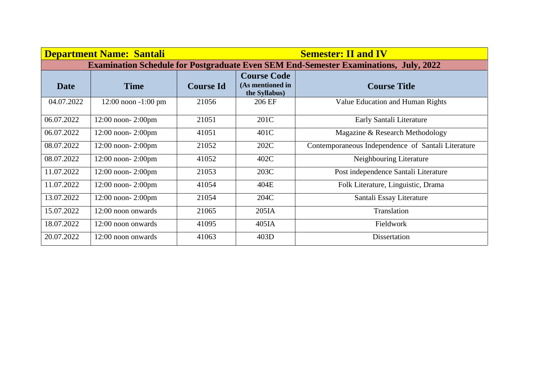|                                                                                             | <b>Department Name: Santali</b> |                  |                                                         | <b>Semester: II and IV</b>                         |  |
|---------------------------------------------------------------------------------------------|---------------------------------|------------------|---------------------------------------------------------|----------------------------------------------------|--|
| <b>Examination Schedule for Postgraduate Even SEM End-Semester Examinations, July, 2022</b> |                                 |                  |                                                         |                                                    |  |
| <b>Date</b>                                                                                 | <b>Time</b>                     | <b>Course Id</b> | <b>Course Code</b><br>(As mentioned in<br>the Syllabus) | <b>Course Title</b>                                |  |
| 04.07.2022                                                                                  | $12:00$ noon $-1:00$ pm         | 21056            | 206 EF                                                  | Value Education and Human Rights                   |  |
| 06.07.2022                                                                                  | $12:00$ noon- $2:00$ pm         | 21051            | 201C                                                    | Early Santali Literature                           |  |
| 06.07.2022                                                                                  | 12:00 noon-2:00pm               | 41051            | 401C                                                    | Magazine & Research Methodology                    |  |
| 08.07.2022                                                                                  | $12:00$ noon- $2:00$ pm         | 21052            | 202C                                                    | Contemporaneous Independence of Santali Literature |  |
| 08.07.2022                                                                                  | $12:00$ noon- $2:00$ pm         | 41052            | 402C                                                    | Neighbouring Literature                            |  |
| 11.07.2022                                                                                  | $12:00$ noon- $2:00$ pm         | 21053            | 203C                                                    | Post independence Santali Literature               |  |
| 11.07.2022                                                                                  | $12:00$ noon- $2:00$ pm         | 41054            | 404E                                                    | Folk Literature, Linguistic, Drama                 |  |
| 13.07.2022                                                                                  | $12:00$ noon- $2:00$ pm         | 21054            | 204C                                                    | Santali Essay Literature                           |  |
| 15.07.2022                                                                                  | 12:00 noon onwards              | 21065            | 205IA                                                   | Translation                                        |  |
| 18.07.2022                                                                                  | 12:00 noon onwards              | 41095            | 405IA                                                   | Fieldwork                                          |  |
| 20.07.2022                                                                                  | 12:00 noon onwards              | 41063            | 403D                                                    | Dissertation                                       |  |